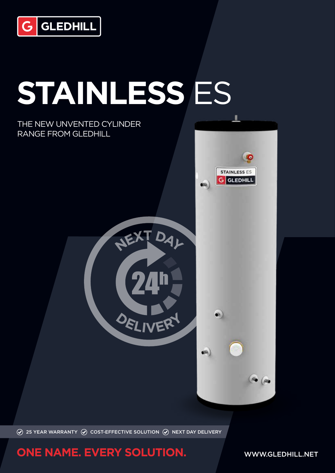

# **STAINLESS** ES

NEXT DAL

DELIVER

#### THE NEW UNVENTED CYLINDER RANGE FROM GLEDHILL



 $\bullet$ 

and .



### **ONE NAME. EVERY SOLUTION.** WWW.GLEDHILL.NET

 $\bullet$  ( $\bullet$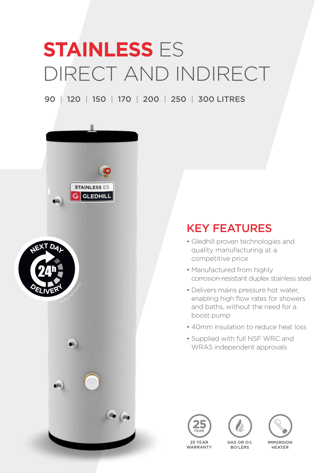## **STAINLESS ES** DIRECT AND INDIRECT

90 | 120 | 150 | 170 | 200 | 250 | 300 LITRES





## KEY FEATURES

- Gledhill proven technologies and quality manufacturing at a competitive price
- Manufactured from highly corrosion-resistant duplex stainless steel
- Delivers mains pressure hot water, enabling high flow rates for showers and baths, without the need for a boost pump
- 40mm insulation to reduce heat loss
- Supplied with full NSF WRC and WRAS independent approvals





**BOILERS** 



**IMMERSION HEATER** 

25 YFAR WARRANTY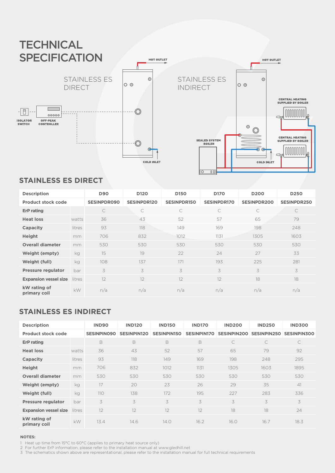

#### **STAINLESS ES DIRECT**

| <b>Description</b>           |        | <b>D90</b>         | D <sub>120</sub>   | D <sub>150</sub>   | <b>D170</b>        | <b>D200</b>        | D <sub>250</sub>   |
|------------------------------|--------|--------------------|--------------------|--------------------|--------------------|--------------------|--------------------|
| <b>Product stock code</b>    |        | <b>SESINPDR090</b> | <b>SESINPDR120</b> | <b>SESINPDR150</b> | <b>SESINPDR170</b> | <b>SESINPDR200</b> | <b>SESINPDR250</b> |
| <b>ErP</b> rating            |        | C                  | C                  | $\mathcal{C}$      | C                  | C                  | $\mathsf{C}$       |
| <b>Heat loss</b>             | watts  | 36                 | 43                 | 52                 | 57                 | 65                 | 79                 |
| Capacity                     | litres | 93                 | 118                | 149                | 169                | 198                | 248                |
| Height                       | mm     | 706                | 832                | 1012               | 1131               | 1305               | 1603               |
| <b>Overall diameter</b>      | mm     | 530                | 530                | 530                | 530                | 530                | 530                |
| <b>Weight (empty)</b>        | kg     | 15                 | 19                 | 22                 | 24                 | 27                 | 33                 |
| Weight (full)                | kg     | 108                | 137                | 171                | 193                | 225                | 281                |
| <b>Pressure regulator</b>    | bar    | 3                  | 3                  | 3                  | 3                  | 3                  | 3                  |
| <b>Expansion vessel size</b> | litres | 12                 | 12                 | 12                 | 12                 | 18                 | 18                 |
| kW rating of<br>primary coil | kW     | n/a                | n/a                | n/a                | n/a                | n/a                | n/a                |

#### **STAINLESS ES INDIRECT**

| <b>Description</b>           |        | <b>IND90</b>       | <b>IND120</b>      | <b>IND150</b>      | <b>IND170</b>      | <b>IND200</b>      | <b>IND250</b>      | <b>IND300</b>      |
|------------------------------|--------|--------------------|--------------------|--------------------|--------------------|--------------------|--------------------|--------------------|
| <b>Product stock code</b>    |        | <b>SESINPINO90</b> | <b>SESINPIN120</b> | <b>SESINPIN150</b> | <b>SESINPIN170</b> | <b>SESINPIN200</b> | <b>SESINPIN250</b> | <b>SESINPIN300</b> |
| <b>ErP</b> rating            |        | B                  | B                  | B                  | B                  | $\mathsf{C}$       | $\mathcal{C}$      | C                  |
| <b>Heat loss</b>             | watts  | 36                 | 43                 | 52                 | 57                 | 65                 | 79                 | 92                 |
| Capacity                     | litres | 93                 | 118                | 149                | 169                | 198                | 248                | 295                |
| Height                       | mm     | 706                | 832                | 1012               | 1131               | 1305               | 1603               | 1895               |
| <b>Overall diameter</b>      | mm     | 530                | 530                | 530                | 530                | 530                | 530                | 530                |
| <b>Weight (empty)</b>        | kg     | 17                 | 20                 | 23                 | 26                 | 29                 | 35                 | 41                 |
| Weight (full)                | kg     | 110                | 138                | 172                | 195                | 227                | 283                | 336                |
| <b>Pressure regulator</b>    | bar    | 3                  | 3                  | 3                  | 3                  | 3                  | 3                  | 3                  |
| <b>Expansion vessel size</b> | litres | 12                 | 12                 | 12                 | 12                 | 18                 | 18                 | 24                 |
| kW rating of<br>primary coil | kW     | 13.4               | 14.6               | 14.0               | 16.2               | 16.0               | 16.7               | 18.3               |

#### **NOTES:**

1 Heat up time from 15°C to 60°C (applies to primary heat source only)

2 For further ErP information, please refer to the installation manual at www.gledhill.net

3 The schematics shown above are representational, please refer to the installation manual for full technical requirements